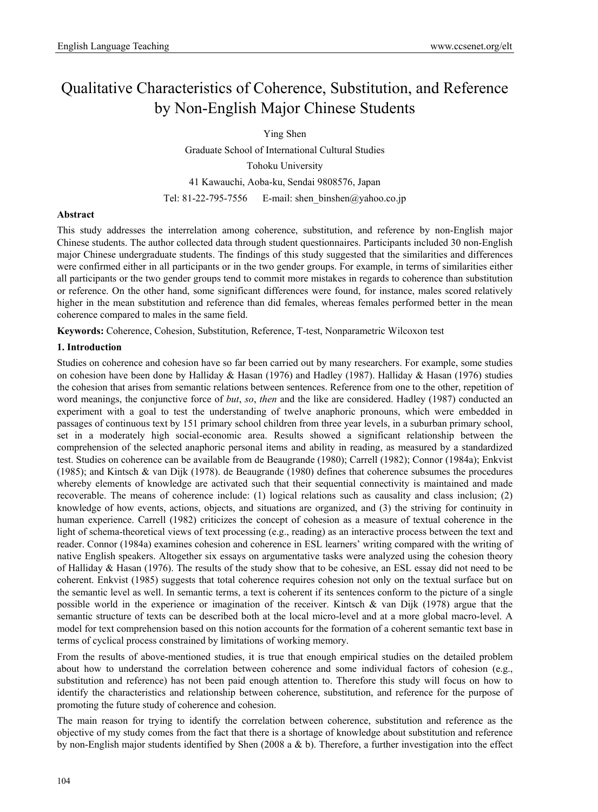# Qualitative Characteristics of Coherence, Substitution, and Reference by Non-English Major Chinese Students

Ying Shen

Graduate School of International Cultural Studies Tohoku University 41 Kawauchi, Aoba-ku, Sendai 9808576, Japan Tel: 81-22-795-7556 E-mail: shen binshen@yahoo.co.jp

# **Abstract**

This study addresses the interrelation among coherence, substitution, and reference by non-English major Chinese students. The author collected data through student questionnaires. Participants included 30 non-English major Chinese undergraduate students. The findings of this study suggested that the similarities and differences were confirmed either in all participants or in the two gender groups. For example, in terms of similarities either all participants or the two gender groups tend to commit more mistakes in regards to coherence than substitution or reference. On the other hand, some significant differences were found, for instance, males scored relatively higher in the mean substitution and reference than did females, whereas females performed better in the mean coherence compared to males in the same field.

**Keywords:** Coherence, Cohesion, Substitution, Reference, T-test, Nonparametric Wilcoxon test

# **1. Introduction**

Studies on coherence and cohesion have so far been carried out by many researchers. For example, some studies on cohesion have been done by Halliday & Hasan (1976) and Hadley (1987). Halliday & Hasan (1976) studies the cohesion that arises from semantic relations between sentences. Reference from one to the other, repetition of word meanings, the conjunctive force of *but*, *so*, *then* and the like are considered. Hadley (1987) conducted an experiment with a goal to test the understanding of twelve anaphoric pronouns, which were embedded in passages of continuous text by 151 primary school children from three year levels, in a suburban primary school, set in a moderately high social-economic area. Results showed a significant relationship between the comprehension of the selected anaphoric personal items and ability in reading, as measured by a standardized test. Studies on coherence can be available from de Beaugrande (1980); Carrell (1982); Connor (1984a); Enkvist (1985); and Kintsch & van Dijk (1978). de Beaugrande (1980) defines that coherence subsumes the procedures whereby elements of knowledge are activated such that their sequential connectivity is maintained and made recoverable. The means of coherence include: (1) logical relations such as causality and class inclusion; (2) knowledge of how events, actions, objects, and situations are organized, and (3) the striving for continuity in human experience. Carrell (1982) criticizes the concept of cohesion as a measure of textual coherence in the light of schema-theoretical views of text processing (e.g., reading) as an interactive process between the text and reader. Connor (1984a) examines cohesion and coherence in ESL learners' writing compared with the writing of native English speakers. Altogether six essays on argumentative tasks were analyzed using the cohesion theory of Halliday & Hasan (1976). The results of the study show that to be cohesive, an ESL essay did not need to be coherent. Enkvist (1985) suggests that total coherence requires cohesion not only on the textual surface but on the semantic level as well. In semantic terms, a text is coherent if its sentences conform to the picture of a single possible world in the experience or imagination of the receiver. Kintsch & van Dijk (1978) argue that the semantic structure of texts can be described both at the local micro-level and at a more global macro-level. A model for text comprehension based on this notion accounts for the formation of a coherent semantic text base in terms of cyclical process constrained by limitations of working memory.

From the results of above-mentioned studies, it is true that enough empirical studies on the detailed problem about how to understand the correlation between coherence and some individual factors of cohesion (e.g., substitution and reference) has not been paid enough attention to. Therefore this study will focus on how to identify the characteristics and relationship between coherence, substitution, and reference for the purpose of promoting the future study of coherence and cohesion.

The main reason for trying to identify the correlation between coherence, substitution and reference as the objective of my study comes from the fact that there is a shortage of knowledge about substitution and reference by non-English major students identified by Shen (2008 a & b). Therefore, a further investigation into the effect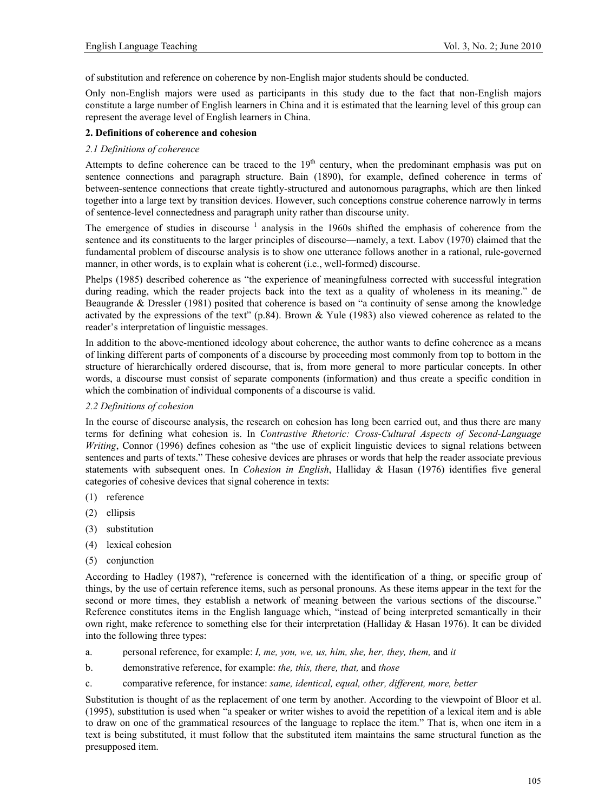of substitution and reference on coherence by non-English major students should be conducted.

Only non-English majors were used as participants in this study due to the fact that non-English majors constitute a large number of English learners in China and it is estimated that the learning level of this group can represent the average level of English learners in China.

# **2. Definitions of coherence and cohesion**

# *2.1 Definitions of coherence*

Attempts to define coherence can be traced to the  $19<sup>th</sup>$  century, when the predominant emphasis was put on sentence connections and paragraph structure. Bain (1890), for example, defined coherence in terms of between-sentence connections that create tightly-structured and autonomous paragraphs, which are then linked together into a large text by transition devices. However, such conceptions construe coherence narrowly in terms of sentence-level connectedness and paragraph unity rather than discourse unity.

The emergence of studies in discourse  $1$  analysis in the 1960s shifted the emphasis of coherence from the sentence and its constituents to the larger principles of discourse—namely, a text. Labov (1970) claimed that the fundamental problem of discourse analysis is to show one utterance follows another in a rational, rule-governed manner, in other words, is to explain what is coherent (i.e., well-formed) discourse.

Phelps (1985) described coherence as "the experience of meaningfulness corrected with successful integration during reading, which the reader projects back into the text as a quality of wholeness in its meaning." de Beaugrande & Dressler (1981) posited that coherence is based on "a continuity of sense among the knowledge activated by the expressions of the text" (p.84). Brown & Yule (1983) also viewed coherence as related to the reader's interpretation of linguistic messages.

In addition to the above-mentioned ideology about coherence, the author wants to define coherence as a means of linking different parts of components of a discourse by proceeding most commonly from top to bottom in the structure of hierarchically ordered discourse, that is, from more general to more particular concepts. In other words, a discourse must consist of separate components (information) and thus create a specific condition in which the combination of individual components of a discourse is valid.

# *2.2 Definitions of cohesion*

In the course of discourse analysis, the research on cohesion has long been carried out, and thus there are many terms for defining what cohesion is. In *Contrastive Rhetoric: Cross-Cultural Aspects of Second-Language Writing*, Connor (1996) defines cohesion as "the use of explicit linguistic devices to signal relations between sentences and parts of texts." These cohesive devices are phrases or words that help the reader associate previous statements with subsequent ones. In *Cohesion in English*, Halliday & Hasan (1976) identifies five general categories of cohesive devices that signal coherence in texts:

- (1) reference
- (2) ellipsis
- (3) substitution
- (4) lexical cohesion
- (5) conjunction

According to Hadley (1987), "reference is concerned with the identification of a thing, or specific group of things, by the use of certain reference items, such as personal pronouns. As these items appear in the text for the second or more times, they establish a network of meaning between the various sections of the discourse." Reference constitutes items in the English language which, "instead of being interpreted semantically in their own right, make reference to something else for their interpretation (Halliday & Hasan 1976). It can be divided into the following three types:

- a. personal reference, for example: *I, me, you, we, us, him, she, her, they, them,* and *it*
- b. demonstrative reference, for example: *the, this, there, that,* and *those*
- c. comparative reference, for instance: *same, identical, equal, other, different, more, better*

Substitution is thought of as the replacement of one term by another. According to the viewpoint of Bloor et al. (1995), substitution is used when "a speaker or writer wishes to avoid the repetition of a lexical item and is able to draw on one of the grammatical resources of the language to replace the item." That is, when one item in a text is being substituted, it must follow that the substituted item maintains the same structural function as the presupposed item.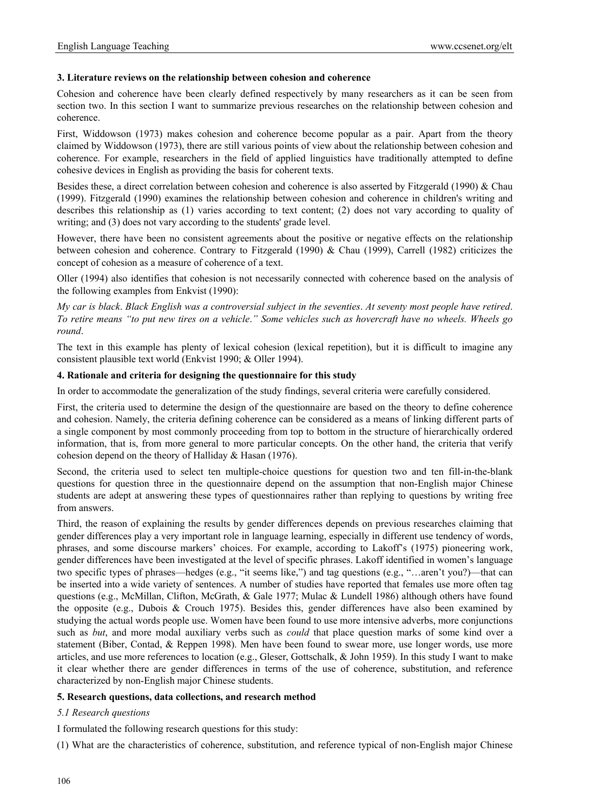# **3. Literature reviews on the relationship between cohesion and coherence**

Cohesion and coherence have been clearly defined respectively by many researchers as it can be seen from section two. In this section I want to summarize previous researches on the relationship between cohesion and coherence.

First, Widdowson (1973) makes cohesion and coherence become popular as a pair. Apart from the theory claimed by Widdowson (1973), there are still various points of view about the relationship between cohesion and coherence. For example, researchers in the field of applied linguistics have traditionally attempted to define cohesive devices in English as providing the basis for coherent texts.

Besides these, a direct correlation between cohesion and coherence is also asserted by Fitzgerald (1990) & Chau (1999). Fitzgerald (1990) examines the relationship between cohesion and coherence in children's writing and describes this relationship as (1) varies according to text content; (2) does not vary according to quality of writing; and (3) does not vary according to the students' grade level.

However, there have been no consistent agreements about the positive or negative effects on the relationship between cohesion and coherence. Contrary to Fitzgerald (1990) & Chau (1999), Carrell (1982) criticizes the concept of cohesion as a measure of coherence of a text.

Oller (1994) also identifies that cohesion is not necessarily connected with coherence based on the analysis of the following examples from Enkvist (1990):

*My car is black*. *Black English was a controversial subject in the seventies*. *At seventy most people have retired*. *To retire means "to put new tires on a vehicle*.*" Some vehicles such as hovercraft have no wheels. Wheels go round*.

The text in this example has plenty of lexical cohesion (lexical repetition), but it is difficult to imagine any consistent plausible text world (Enkvist 1990; & Oller 1994).

# **4. Rationale and criteria for designing the questionnaire for this study**

In order to accommodate the generalization of the study findings, several criteria were carefully considered.

First, the criteria used to determine the design of the questionnaire are based on the theory to define coherence and cohesion. Namely, the criteria defining coherence can be considered as a means of linking different parts of a single component by most commonly proceeding from top to bottom in the structure of hierarchically ordered information, that is, from more general to more particular concepts. On the other hand, the criteria that verify cohesion depend on the theory of Halliday & Hasan (1976).

Second, the criteria used to select ten multiple-choice questions for question two and ten fill-in-the-blank questions for question three in the questionnaire depend on the assumption that non-English major Chinese students are adept at answering these types of questionnaires rather than replying to questions by writing free from answers.

Third, the reason of explaining the results by gender differences depends on previous researches claiming that gender differences play a very important role in language learning, especially in different use tendency of words, phrases, and some discourse markers' choices. For example, according to Lakoff's (1975) pioneering work, gender differences have been investigated at the level of specific phrases. Lakoff identified in women's language two specific types of phrases—hedges (e.g., "it seems like,") and tag questions (e.g., "…aren't you?)—that can be inserted into a wide variety of sentences. A number of studies have reported that females use more often tag questions (e.g., McMillan, Clifton, McGrath, & Gale 1977; Mulac & Lundell 1986) although others have found the opposite (e.g., Dubois & Crouch 1975). Besides this, gender differences have also been examined by studying the actual words people use. Women have been found to use more intensive adverbs, more conjunctions such as *but*, and more modal auxiliary verbs such as *could* that place question marks of some kind over a statement (Biber, Contad, & Reppen 1998). Men have been found to swear more, use longer words, use more articles, and use more references to location (e.g., Gleser, Gottschalk, & John 1959). In this study I want to make it clear whether there are gender differences in terms of the use of coherence, substitution, and reference characterized by non-English major Chinese students.

# **5. Research questions, data collections, and research method**

# *5.1 Research questions*

I formulated the following research questions for this study:

(1) What are the characteristics of coherence, substitution, and reference typical of non-English major Chinese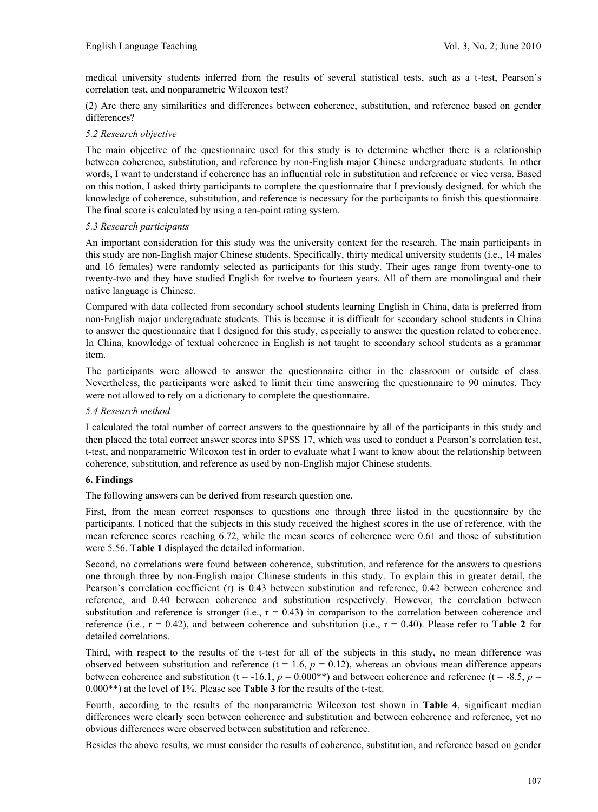medical university students inferred from the results of several statistical tests, such as a t-test, Pearson's correlation test, and nonparametric Wilcoxon test?

(2) Are there any similarities and differences between coherence, substitution, and reference based on gender differences?

# *5.2 Research objective*

The main objective of the questionnaire used for this study is to determine whether there is a relationship between coherence, substitution, and reference by non-English major Chinese undergraduate students. In other words, I want to understand if coherence has an influential role in substitution and reference or vice versa. Based on this notion, I asked thirty participants to complete the questionnaire that I previously designed, for which the knowledge of coherence, substitution, and reference is necessary for the participants to finish this questionnaire. The final score is calculated by using a ten-point rating system.

# *5.3 Research participants*

An important consideration for this study was the university context for the research. The main participants in this study are non-English major Chinese students. Specifically, thirty medical university students (i.e., 14 males and 16 females) were randomly selected as participants for this study. Their ages range from twenty-one to twenty-two and they have studied English for twelve to fourteen years. All of them are monolingual and their native language is Chinese.

Compared with data collected from secondary school students learning English in China, data is preferred from non-English major undergraduate students. This is because it is difficult for secondary school students in China to answer the questionnaire that I designed for this study, especially to answer the question related to coherence. In China, knowledge of textual coherence in English is not taught to secondary school students as a grammar item.

The participants were allowed to answer the questionnaire either in the classroom or outside of class. Nevertheless, the participants were asked to limit their time answering the questionnaire to 90 minutes. They were not allowed to rely on a dictionary to complete the questionnaire.

# *5.4 Research method*

I calculated the total number of correct answers to the questionnaire by all of the participants in this study and then placed the total correct answer scores into SPSS 17, which was used to conduct a Pearson's correlation test, t-test, and nonparametric Wilcoxon test in order to evaluate what I want to know about the relationship between coherence, substitution, and reference as used by non-English major Chinese students.

# **6. Findings**

The following answers can be derived from research question one.

First, from the mean correct responses to questions one through three listed in the questionnaire by the participants, I noticed that the subjects in this study received the highest scores in the use of reference, with the mean reference scores reaching 6.72, while the mean scores of coherence were 0.61 and those of substitution were 5.56. **Table 1** displayed the detailed information.

Second, no correlations were found between coherence, substitution, and reference for the answers to questions one through three by non-English major Chinese students in this study. To explain this in greater detail, the Pearson's correlation coefficient (r) is 0.43 between substitution and reference, 0.42 between coherence and reference, and 0.40 between coherence and substitution respectively. However, the correlation between substitution and reference is stronger (i.e.,  $r = 0.43$ ) in comparison to the correlation between coherence and reference (i.e.,  $r = 0.42$ ), and between coherence and substitution (i.e.,  $r = 0.40$ ). Please refer to **Table 2** for detailed correlations.

Third, with respect to the results of the t-test for all of the subjects in this study, no mean difference was observed between substitution and reference ( $t = 1.6$ ,  $p = 0.12$ ), whereas an obvious mean difference appears between coherence and substitution ( $t = -16.1$ ,  $p = 0.000$ <sup>\*\*</sup>) and between coherence and reference ( $t = -8.5$ ,  $p =$ 0.000\*\*) at the level of 1%. Please see **Table 3** for the results of the t-test.

Fourth, according to the results of the nonparametric Wilcoxon test shown in **Table 4**, significant median differences were clearly seen between coherence and substitution and between coherence and reference, yet no obvious differences were observed between substitution and reference.

Besides the above results, we must consider the results of coherence, substitution, and reference based on gender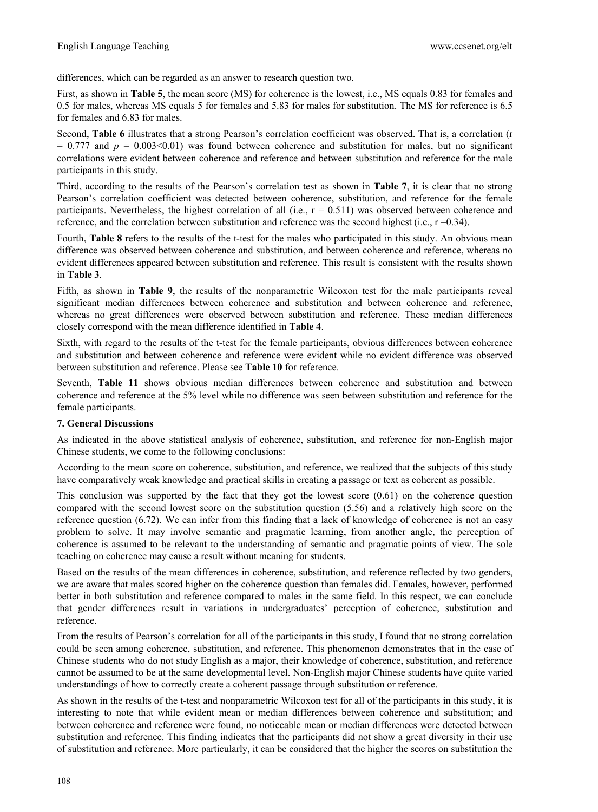differences, which can be regarded as an answer to research question two.

First, as shown in **Table 5**, the mean score (MS) for coherence is the lowest, i.e., MS equals 0.83 for females and 0.5 for males, whereas MS equals 5 for females and 5.83 for males for substitution. The MS for reference is 6.5 for females and 6.83 for males.

Second, **Table 6** illustrates that a strong Pearson's correlation coefficient was observed. That is, a correlation (r  $= 0.777$  and  $p = 0.003 \le 0.01$ ) was found between coherence and substitution for males, but no significant correlations were evident between coherence and reference and between substitution and reference for the male participants in this study.

Third, according to the results of the Pearson's correlation test as shown in **Table 7**, it is clear that no strong Pearson's correlation coefficient was detected between coherence, substitution, and reference for the female participants. Nevertheless, the highest correlation of all (i.e.,  $r = 0.511$ ) was observed between coherence and reference, and the correlation between substitution and reference was the second highest (i.e.,  $r = 0.34$ ).

Fourth, **Table 8** refers to the results of the t-test for the males who participated in this study. An obvious mean difference was observed between coherence and substitution, and between coherence and reference, whereas no evident differences appeared between substitution and reference. This result is consistent with the results shown in **Table 3**.

Fifth, as shown in **Table 9**, the results of the nonparametric Wilcoxon test for the male participants reveal significant median differences between coherence and substitution and between coherence and reference, whereas no great differences were observed between substitution and reference. These median differences closely correspond with the mean difference identified in **Table 4**.

Sixth, with regard to the results of the t-test for the female participants, obvious differences between coherence and substitution and between coherence and reference were evident while no evident difference was observed between substitution and reference. Please see **Table 10** for reference.

Seventh, **Table 11** shows obvious median differences between coherence and substitution and between coherence and reference at the 5% level while no difference was seen between substitution and reference for the female participants.

# **7. General Discussions**

As indicated in the above statistical analysis of coherence, substitution, and reference for non-English major Chinese students, we come to the following conclusions:

According to the mean score on coherence, substitution, and reference, we realized that the subjects of this study have comparatively weak knowledge and practical skills in creating a passage or text as coherent as possible.

This conclusion was supported by the fact that they got the lowest score  $(0.61)$  on the coherence question compared with the second lowest score on the substitution question (5.56) and a relatively high score on the reference question (6.72). We can infer from this finding that a lack of knowledge of coherence is not an easy problem to solve. It may involve semantic and pragmatic learning, from another angle, the perception of coherence is assumed to be relevant to the understanding of semantic and pragmatic points of view. The sole teaching on coherence may cause a result without meaning for students.

Based on the results of the mean differences in coherence, substitution, and reference reflected by two genders, we are aware that males scored higher on the coherence question than females did. Females, however, performed better in both substitution and reference compared to males in the same field. In this respect, we can conclude that gender differences result in variations in undergraduates' perception of coherence, substitution and reference.

From the results of Pearson's correlation for all of the participants in this study, I found that no strong correlation could be seen among coherence, substitution, and reference. This phenomenon demonstrates that in the case of Chinese students who do not study English as a major, their knowledge of coherence, substitution, and reference cannot be assumed to be at the same developmental level. Non-English major Chinese students have quite varied understandings of how to correctly create a coherent passage through substitution or reference.

As shown in the results of the t-test and nonparametric Wilcoxon test for all of the participants in this study, it is interesting to note that while evident mean or median differences between coherence and substitution; and between coherence and reference were found, no noticeable mean or median differences were detected between substitution and reference. This finding indicates that the participants did not show a great diversity in their use of substitution and reference. More particularly, it can be considered that the higher the scores on substitution the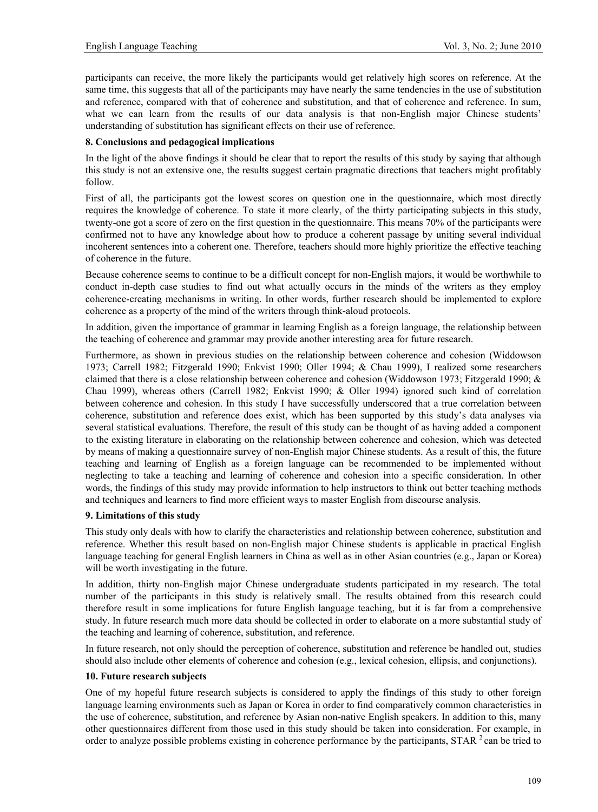participants can receive, the more likely the participants would get relatively high scores on reference. At the same time, this suggests that all of the participants may have nearly the same tendencies in the use of substitution and reference, compared with that of coherence and substitution, and that of coherence and reference. In sum, what we can learn from the results of our data analysis is that non-English major Chinese students' understanding of substitution has significant effects on their use of reference.

#### **8. Conclusions and pedagogical implications**

In the light of the above findings it should be clear that to report the results of this study by saying that although this study is not an extensive one, the results suggest certain pragmatic directions that teachers might profitably follow.

First of all, the participants got the lowest scores on question one in the questionnaire, which most directly requires the knowledge of coherence. To state it more clearly, of the thirty participating subjects in this study, twenty-one got a score of zero on the first question in the questionnaire. This means 70% of the participants were confirmed not to have any knowledge about how to produce a coherent passage by uniting several individual incoherent sentences into a coherent one. Therefore, teachers should more highly prioritize the effective teaching of coherence in the future.

Because coherence seems to continue to be a difficult concept for non-English majors, it would be worthwhile to conduct in-depth case studies to find out what actually occurs in the minds of the writers as they employ coherence-creating mechanisms in writing. In other words, further research should be implemented to explore coherence as a property of the mind of the writers through think-aloud protocols.

In addition, given the importance of grammar in learning English as a foreign language, the relationship between the teaching of coherence and grammar may provide another interesting area for future research.

Furthermore, as shown in previous studies on the relationship between coherence and cohesion (Widdowson 1973; Carrell 1982; Fitzgerald 1990; Enkvist 1990; Oller 1994; & Chau 1999), I realized some researchers claimed that there is a close relationship between coherence and cohesion (Widdowson 1973; Fitzgerald 1990; & Chau 1999), whereas others (Carrell 1982; Enkvist 1990; & Oller 1994) ignored such kind of correlation between coherence and cohesion. In this study I have successfully underscored that a true correlation between coherence, substitution and reference does exist, which has been supported by this study's data analyses via several statistical evaluations. Therefore, the result of this study can be thought of as having added a component to the existing literature in elaborating on the relationship between coherence and cohesion, which was detected by means of making a questionnaire survey of non-English major Chinese students. As a result of this, the future teaching and learning of English as a foreign language can be recommended to be implemented without neglecting to take a teaching and learning of coherence and cohesion into a specific consideration. In other words, the findings of this study may provide information to help instructors to think out better teaching methods and techniques and learners to find more efficient ways to master English from discourse analysis.

#### **9. Limitations of this study**

This study only deals with how to clarify the characteristics and relationship between coherence, substitution and reference. Whether this result based on non-English major Chinese students is applicable in practical English language teaching for general English learners in China as well as in other Asian countries (e.g., Japan or Korea) will be worth investigating in the future.

In addition, thirty non-English major Chinese undergraduate students participated in my research. The total number of the participants in this study is relatively small. The results obtained from this research could therefore result in some implications for future English language teaching, but it is far from a comprehensive study. In future research much more data should be collected in order to elaborate on a more substantial study of the teaching and learning of coherence, substitution, and reference.

In future research, not only should the perception of coherence, substitution and reference be handled out, studies should also include other elements of coherence and cohesion (e.g., lexical cohesion, ellipsis, and conjunctions).

#### **10. Future research subjects**

One of my hopeful future research subjects is considered to apply the findings of this study to other foreign language learning environments such as Japan or Korea in order to find comparatively common characteristics in the use of coherence, substitution, and reference by Asian non-native English speakers. In addition to this, many other questionnaires different from those used in this study should be taken into consideration. For example, in order to analyze possible problems existing in coherence performance by the participants,  $STAR<sup>2</sup>$  can be tried to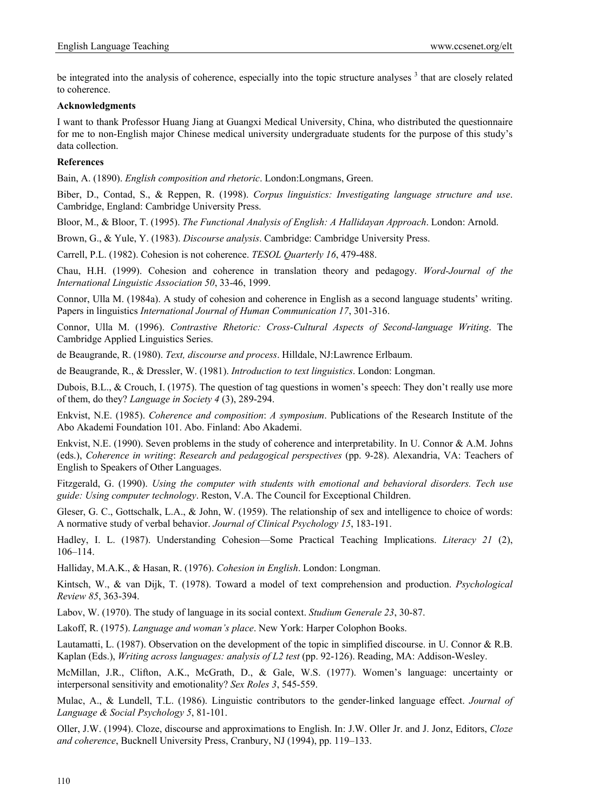be integrated into the analysis of coherence, especially into the topic structure analyses<sup>3</sup> that are closely related to coherence.

#### **Acknowledgments**

I want to thank Professor Huang Jiang at Guangxi Medical University, China, who distributed the questionnaire for me to non-English major Chinese medical university undergraduate students for the purpose of this study's data collection.

#### **References**

Bain, A. (1890). *English composition and rhetoric*. London:Longmans, Green.

Biber, D., Contad, S., & Reppen, R. (1998). *Corpus linguistics: Investigating language structure and use*. Cambridge, England: Cambridge University Press.

Bloor, M., & Bloor, T. (1995). *The Functional Analysis of English: A Hallidayan Approach*. London: Arnold.

Brown, G., & Yule, Y. (1983). *Discourse analysis*. Cambridge: Cambridge University Press.

Carrell, P.L. (1982). Cohesion is not coherence. *TESOL Quarterly 16*, 479-488.

Chau, H.H. (1999). Cohesion and coherence in translation theory and pedagogy. *Word-Journal of the International Linguistic Association 50*, 33-46, 1999.

Connor, Ulla M. (1984a). A study of cohesion and coherence in English as a second language students' writing. Papers in linguistics *International Journal of Human Communication 17*, 301-316.

Connor, Ulla M. (1996). *Contrastive Rhetoric: Cross-Cultural Aspects of Second-language Writing*. The Cambridge Applied Linguistics Series.

de Beaugrande, R. (1980). *Text, discourse and process*. Hilldale, NJ:Lawrence Erlbaum.

de Beaugrande, R., & Dressler, W. (1981). *Introduction to text linguistics*. London: Longman.

Dubois, B.L., & Crouch, I. (1975). The question of tag questions in women's speech: They don't really use more of them, do they? *Language in Society 4* (3), 289-294.

Enkvist, N.E. (1985). *Coherence and composition*: *A symposium*. Publications of the Research Institute of the Abo Akademi Foundation 101. Abo. Finland: Abo Akademi.

Enkvist, N.E. (1990). Seven problems in the study of coherence and interpretability. In U. Connor & A.M. Johns (eds.), *Coherence in writing*: *Research and pedagogical perspectives* (pp. 9-28). Alexandria, VA: Teachers of English to Speakers of Other Languages.

Fitzgerald, G. (1990). *Using the computer with students with emotional and behavioral disorders. Tech use guide: Using computer technology*. Reston, V.A. The Council for Exceptional Children.

Gleser, G. C., Gottschalk, L.A., & John, W. (1959). The relationship of sex and intelligence to choice of words: A normative study of verbal behavior. *Journal of Clinical Psychology 15*, 183-191.

Hadley, I. L. (1987). Understanding Cohesion—Some Practical Teaching Implications. *Literacy 21* (2), 106–114.

Halliday, M.A.K., & Hasan, R. (1976). *Cohesion in English*. London: Longman.

Kintsch, W., & van Dijk, T. (1978). Toward a model of text comprehension and production. *Psychological Review 85*, 363-394.

Labov, W. (1970). The study of language in its social context. *Studium Generale 23*, 30-87.

Lakoff, R. (1975). *Language and woman's place*. New York: Harper Colophon Books.

Lautamatti, L. (1987). Observation on the development of the topic in simplified discourse. in U. Connor & R.B. Kaplan (Eds.), *Writing across languages: analysis of L2 test* (pp. 92-126). Reading, MA: Addison-Wesley.

McMillan, J.R., Clifton, A.K., McGrath, D., & Gale, W.S. (1977). Women's language: uncertainty or interpersonal sensitivity and emotionality? *Sex Roles 3*, 545-559.

Mulac, A., & Lundell, T.L. (1986). Linguistic contributors to the gender-linked language effect. *Journal of Language & Social Psychology 5*, 81-101.

Oller, J.W. (1994). Cloze, discourse and approximations to English. In: J.W. Oller Jr. and J. Jonz, Editors, *Cloze and coherence*, Bucknell University Press, Cranbury, NJ (1994), pp. 119–133.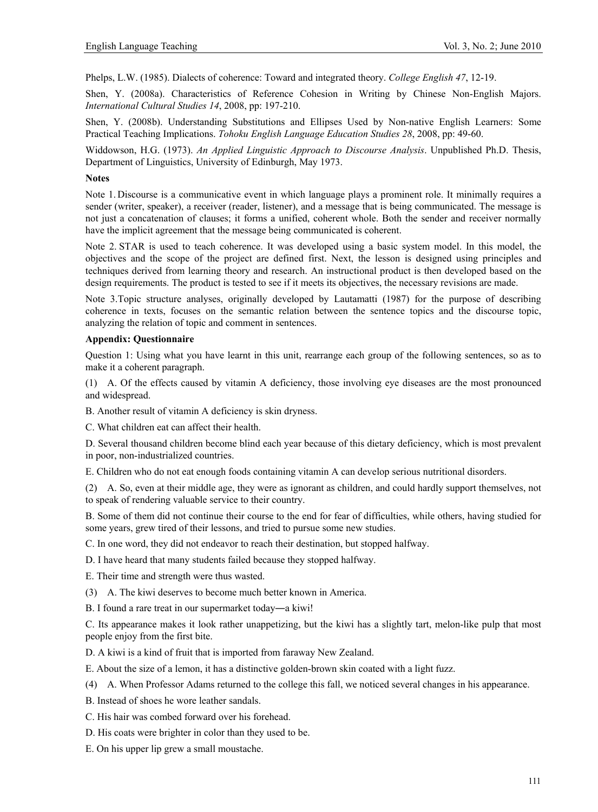Phelps, L.W. (1985). Dialects of coherence: Toward and integrated theory. *College English 47*, 12-19.

Shen, Y. (2008a). Characteristics of Reference Cohesion in Writing by Chinese Non-English Majors. *International Cultural Studies 14*, 2008, pp: 197-210.

Shen, Y. (2008b). Understanding Substitutions and Ellipses Used by Non-native English Learners: Some Practical Teaching Implications. *Tohoku English Language Education Studies 28*, 2008, pp: 49-60.

Widdowson, H.G. (1973). *An Applied Linguistic Approach to Discourse Analysis*. Unpublished Ph.D. Thesis, Department of Linguistics, University of Edinburgh, May 1973.

#### **Notes**

Note 1. Discourse is a communicative event in which language plays a prominent role. It minimally requires a sender (writer, speaker), a receiver (reader, listener), and a message that is being communicated. The message is not just a concatenation of clauses; it forms a unified, coherent whole. Both the sender and receiver normally have the implicit agreement that the message being communicated is coherent.

Note 2. STAR is used to teach coherence. It was developed using a basic system model. In this model, the objectives and the scope of the project are defined first. Next, the lesson is designed using principles and techniques derived from learning theory and research. An instructional product is then developed based on the design requirements. The product is tested to see if it meets its objectives, the necessary revisions are made.

Note 3.Topic structure analyses, originally developed by Lautamatti (1987) for the purpose of describing coherence in texts, focuses on the semantic relation between the sentence topics and the discourse topic, analyzing the relation of topic and comment in sentences.

#### **Appendix: Questionnaire**

Question 1: Using what you have learnt in this unit, rearrange each group of the following sentences, so as to make it a coherent paragraph.

(1) A. Of the effects caused by vitamin A deficiency, those involving eye diseases are the most pronounced and widespread.

B. Another result of vitamin A deficiency is skin dryness.

C. What children eat can affect their health.

D. Several thousand children become blind each year because of this dietary deficiency, which is most prevalent in poor, non-industrialized countries.

E. Children who do not eat enough foods containing vitamin A can develop serious nutritional disorders.

(2) A. So, even at their middle age, they were as ignorant as children, and could hardly support themselves, not to speak of rendering valuable service to their country.

B. Some of them did not continue their course to the end for fear of difficulties, while others, having studied for some years, grew tired of their lessons, and tried to pursue some new studies.

C. In one word, they did not endeavor to reach their destination, but stopped halfway.

D. I have heard that many students failed because they stopped halfway.

E. Their time and strength were thus wasted.

(3) A. The kiwi deserves to become much better known in America.

B. I found a rare treat in our supermarket today―a kiwi!

C. Its appearance makes it look rather unappetizing, but the kiwi has a slightly tart, melon-like pulp that most people enjoy from the first bite.

D. A kiwi is a kind of fruit that is imported from faraway New Zealand.

E. About the size of a lemon, it has a distinctive golden-brown skin coated with a light fuzz.

(4) A. When Professor Adams returned to the college this fall, we noticed several changes in his appearance.

B. Instead of shoes he wore leather sandals.

C. His hair was combed forward over his forehead.

D. His coats were brighter in color than they used to be.

E. On his upper lip grew a small moustache.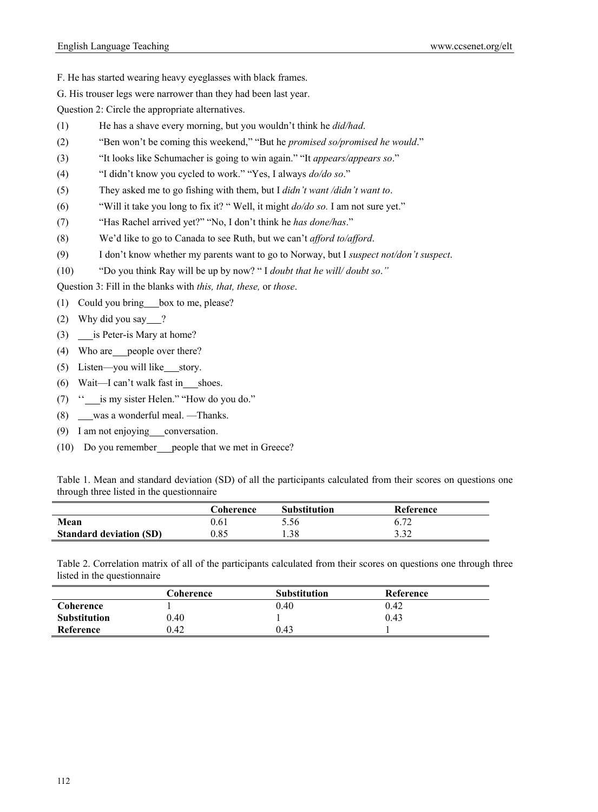- F. He has started wearing heavy eyeglasses with black frames.
- G. His trouser legs were narrower than they had been last year.

Question 2: Circle the appropriate alternatives.

- (1) He has a shave every morning, but you wouldn't think he *did/had*.
- (2) "Ben won't be coming this weekend," "But he *promised so/promised he would*."
- (3) "It looks like Schumacher is going to win again." "It *appears/appears so*."
- (4) "I didn't know you cycled to work." "Yes, I always *do/do so*."
- (5) They asked me to go fishing with them, but I *didn't want /didn't want to*.
- (6) "Will it take you long to fix it? " Well, it might *do/do so.* I am not sure yet."
- (7) "Has Rachel arrived yet?" "No, I don't think he *has done/has*."
- (8) We'd like to go to Canada to see Ruth, but we can't *afford to/afford*.
- (9) I don't know whether my parents want to go to Norway, but I *suspect not/don't suspect*.
- (10) "Do you think Ray will be up by now? " I *doubt that he will/ doubt so*.*"*

Question 3: Fill in the blanks with *this, that, these,* or *those*.

(1) Could you bring box to me, please?

- (2) Why did you say  $\frac{?}{?}$
- (3) is Peter-is Mary at home?
- (4) Who are people over there?
- $(5)$  Listen—you will like story.
- (6) Wait—I can't walk fast in shoes.
- (7) '' is my sister Helen." "How do you do."
- (8) was a wonderful meal. —Thanks.
- (9) I am not enjoying conversation.
- (10) Do you remember people that we met in Greece?

Table 1. Mean and standard deviation (SD) of all the participants calculated from their scores on questions one through three listed in the questionnaire

|                                | Coherence | <b>Substitution</b> | Reference |
|--------------------------------|-----------|---------------------|-----------|
| Mean                           | 0.61      | 5.56                |           |
| <b>Standard deviation (SD)</b> | 0.85      | .38                 | 3.32      |

Table 2. Correlation matrix of all of the participants calculated from their scores on questions one through three listed in the questionnaire

|                     | Coherence | <b>Substitution</b> | Reference |
|---------------------|-----------|---------------------|-----------|
| Coherence           |           | 0.40                | 0.42      |
| <b>Substitution</b> | 0.40      |                     | 0.43      |
| Reference           | ).42      | 0.43                |           |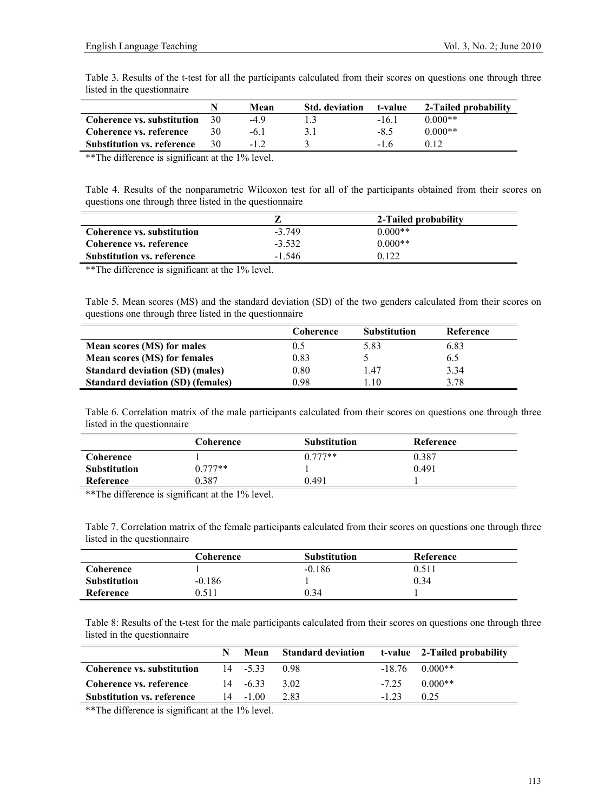Table 3. Results of the t-test for all the participants calculated from their scores on questions one through three listed in the questionnaire

|                                   |      | Mean | <b>Std. deviation</b> | t-value | 2-Tailed probability |
|-----------------------------------|------|------|-----------------------|---------|----------------------|
| Coherence vs. substitution        | - 30 | -49  |                       | $-16.1$ | $0.000**$            |
| Coherence vs. reference           |      | -61  |                       | $-8.5$  | $0.000**$            |
| <b>Substitution vs. reference</b> | 30   |      |                       | $-16$   | 012                  |

\*\*The difference is significant at the 1% level.

Table 4. Results of the nonparametric Wilcoxon test for all of the participants obtained from their scores on questions one through three listed in the questionnaire

|                                   |          | 2-Tailed probability |
|-----------------------------------|----------|----------------------|
| Coherence vs. substitution        | $-3749$  | $0.000**$            |
| Coherence vs. reference           | $-3,532$ | $0.000**$            |
| <b>Substitution vs. reference</b> | $-1,546$ | 0 122                |

\*\*The difference is significant at the 1% level.

Table 5. Mean scores (MS) and the standard deviation (SD) of the two genders calculated from their scores on questions one through three listed in the questionnaire

|                                          | Coherence | <b>Substitution</b> | Reference |
|------------------------------------------|-----------|---------------------|-----------|
| Mean scores (MS) for males               | 0.5       | 5.83                | 6.83      |
| Mean scores (MS) for females             | 0.83      |                     | 6.5       |
| <b>Standard deviation (SD) (males)</b>   | 0.80      | .47                 | 3.34      |
| <b>Standard deviation (SD) (females)</b> | 0 98      | -10                 | 3.78      |

Table 6. Correlation matrix of the male participants calculated from their scores on questions one through three listed in the questionnaire

|                     | Coherence | <b>Substitution</b> | Reference |  |
|---------------------|-----------|---------------------|-----------|--|
| Coherence           |           | $0.777**$           | 0.387     |  |
| <b>Substitution</b> | $0.777**$ |                     | 0.491     |  |
| Reference           | 0.387     | 0.491               |           |  |

\*\*The difference is significant at the 1% level.

Table 7. Correlation matrix of the female participants calculated from their scores on questions one through three listed in the questionnaire

|                     | Coherence | <b>Substitution</b> | Reference |  |
|---------------------|-----------|---------------------|-----------|--|
| Coherence           |           | $-0.186$            | 0.511     |  |
| <b>Substitution</b> | $-0.186$  |                     | 0.34      |  |
| Reference           | 0.511     | 0.34                |           |  |

Table 8: Results of the t-test for the male participants calculated from their scores on questions one through three listed in the questionnaire

|                                   |                 | Mean Standard deviation t-value 2-Tailed probability |        |                              |
|-----------------------------------|-----------------|------------------------------------------------------|--------|------------------------------|
| Coherence vs. substitution        | $14 - 533098$   |                                                      |        | $-18.76$ 0.000 <sup>**</sup> |
| Coherence vs. reference           | $14 - 633$ 3.02 |                                                      |        | $-7.25$ 0.000 <sup>**</sup>  |
| <b>Substitution vs. reference</b> | $14 - 100$      | 2.83                                                 | $-123$ | 0.25                         |

\*\*The difference is significant at the 1% level.